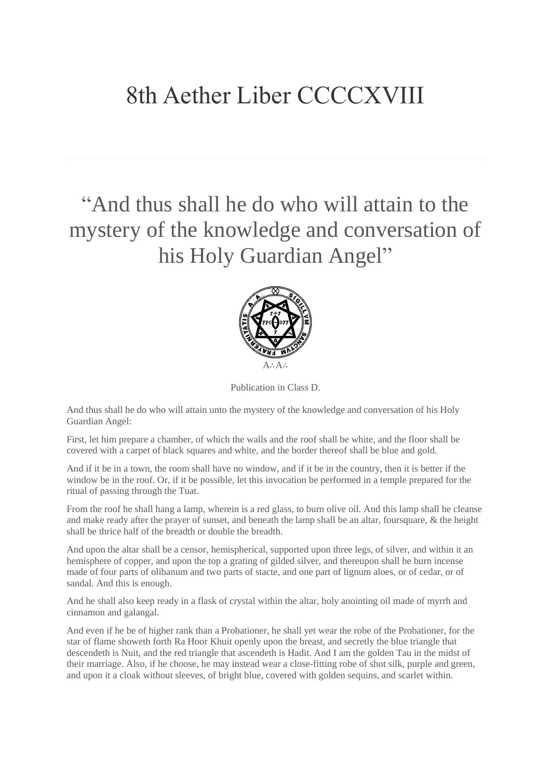## 8th Aether Liber CCCCXVIII

## "And thus shall he do who will attain to the mystery of the knowledge and conversation of his Holy Guardian Angel"



Publication in Class D.

And thus shall he do who will attain unto the mystery of the knowledge and conversation of his Holy Guardian Angel:

First, let him prepare a chamber, of which the walls and the roof shall be white, and the floor shall be covered with a carpet of black squares and white, and the border thereof shall be blue and gold.

And if it be in a town, the room shall have no window, and if it be in the country, then it is better if the window be in the roof. Or, if it be possible, let this invocation be performed in a temple prepared for the ritual of passing through the Tuat.

From the roof he shall hang a lamp, wherein is a red glass, to burn olive oil. And this lamp shall he cleanse and make ready after the prayer of sunset, and beneath the lamp shall be an altar, foursquare, & the height shall be thrice half of the breadth or double the breadth.

And upon the altar shall be a censor, hemispherical, supported upon three legs, of silver, and within it an hemisphere of copper, and upon the top a grating of gilded silver, and thereupon shall he burn incense made of four parts of olibanum and two parts of stacte, and one part of lignum aloes, or of cedar, or of sandal. And this is enough.

And he shall also keep ready in a flask of crystal within the altar, holy anointing oil made of myrrh and cinnamon and galangal.

And even if he be of higher rank than a Probationer, he shall yet wear the robe of the Probationer, for the star of flame showeth forth Ra Hoor Khuit openly upon the breast, and secretly the blue triangle that descendeth is Nuit, and the red triangle that ascendeth is Hadit. And I am the golden Tau in the midst of their marriage. Also, if he choose, he may instead wear a close-fitting robe of shot silk, purple and green, and upon it a cloak without sleeves, of bright blue, covered with golden sequins, and scarlet within.